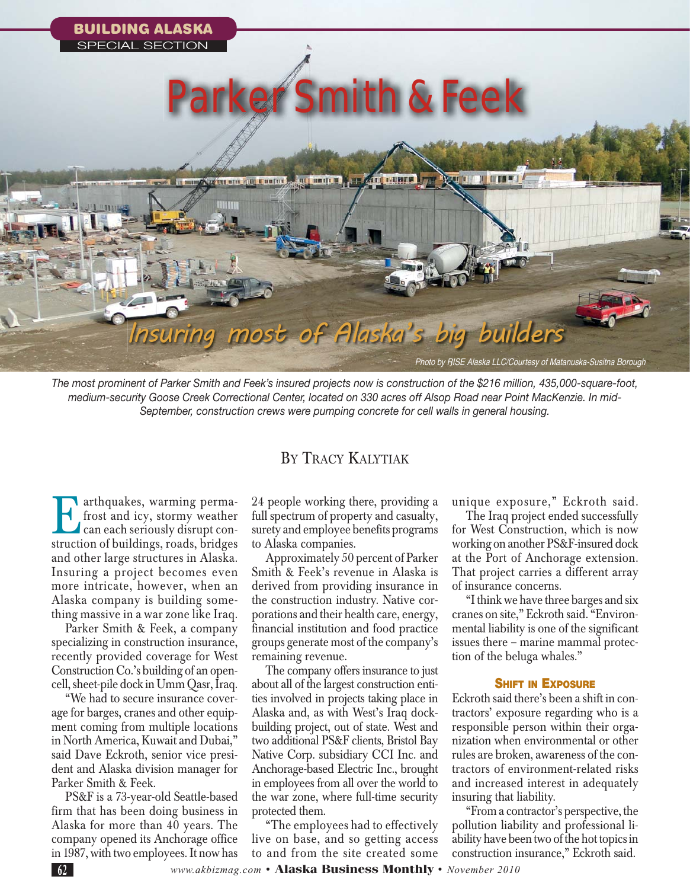

*The most prominent of Parker Smith and Feek's insured projects now is construction of the \$216 million, 435,000-square-foot, medium-security Goose Creek Correctional Center, located on 330 acres off Alsop Road near Point MacKenzie. In mid-September, construction crews were pumping concrete for cell walls in general housing.* 

## BY TRACY KALYTIAK

Earthquakes, warming perma-<br>
frost and icy, stormy weather<br>
can each seriously disrupt con-<br>
struction of buildings roads bridges frost and icy, stormy weather can each seriously disrupt construction of buildings, roads, bridges and other large structures in Alaska. Insuring a project becomes even more intricate, however, when an Alaska company is building something massive in a war zone like Iraq.

Parker Smith & Feek, a company specializing in construction insurance, recently provided coverage for West Construction Co.'s building of an opencell, sheet-pile dock in Umm Qasr, Iraq.

"We had to secure insurance coverage for barges, cranes and other equipment coming from multiple locations in North America, Kuwait and Dubai," said Dave Eckroth, senior vice president and Alaska division manager for Parker Smith & Feek.

PS&F is a 73-year-old Seattle-based firm that has been doing business in Alaska for more than 40 years. The company opened its Anchorage office in 1987, with two employees. It now has

24 people working there, providing a full spectrum of property and casualty, surety and employee benefits programs to Alaska companies.

Approximately 50 percent of Parker Smith & Feek's revenue in Alaska is derived from providing insurance in the construction industry. Native corporations and their health care, energy, financial institution and food practice groups generate most of the company's remaining revenue.

The company offers insurance to just about all of the largest construction entities involved in projects taking place in Alaska and, as with West's Iraq dockbuilding project, out of state. West and two additional PS&F clients, Bristol Bay Native Corp. subsidiary CCI Inc. and Anchorage-based Electric Inc., brought in employees from all over the world to the war zone, where full-time security protected them.

"The employees had to effectively live on base, and so getting access to and from the site created some

unique exposure," Eckroth said.

The Iraq project ended successfully for West Construction, which is now working on another PS&F-insured dock at the Port of Anchorage extension. That project carries a different array of insurance concerns.

"I think we have three barges and six cranes on site," Eckroth said. "Environmental liability is one of the significant issues there – marine mammal protection of the beluga whales."

## **SHIFT IN EXPOSURE**

Eckroth said there's been a shift in contractors' exposure regarding who is a responsible person within their organization when environmental or other rules are broken, awareness of the contractors of environment-related risks and increased interest in adequately insuring that liability.

"From a contractor's perspective, the pollution liability and professional liability have been two of the hot topics in construction insurance," Eckroth said.

**<sup>62</sup>** *www.akbizmag.com* • **Alaska Business Monthly** • *November 2010*